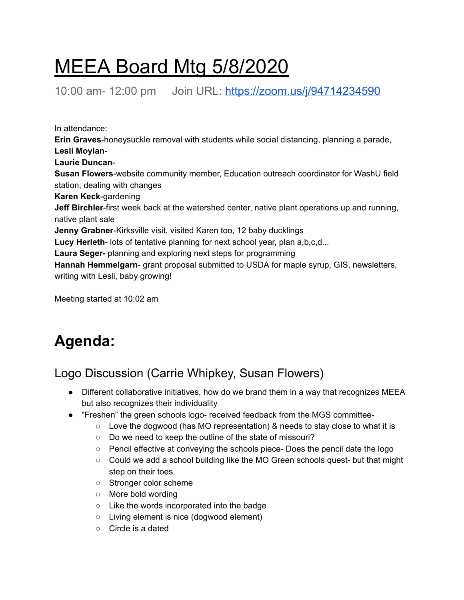# MEEA Board Mtg 5/8/2020

10:00 am- 12:00 pm Join URL:<https://zoom.us/j/94714234590>

In attendance:

**Erin Graves**-honeysuckle removal with students while social distancing, planning a parade, **Lesli Moylan**-**Laurie Duncan**-**Susan Flowers**-website community member, Education outreach coordinator for WashU field station, dealing with changes **Karen Keck**-gardening **Jeff Birchler**-first week back at the watershed center, native plant operations up and running, native plant sale **Jenny Grabner**-Kirksville visit, visited Karen too, 12 baby ducklings **Lucy Herleth**- lots of tentative planning for next school year, plan a,b,c,d... **Laura Seger-** planning and exploring next steps for programming **Hannah Hemmelgarn**- grant proposal submitted to USDA for maple syrup, GIS, newsletters, writing with Lesli, baby growing!

Meeting started at 10:02 am

# **Agenda:**

## Logo Discussion (Carrie Whipkey, Susan Flowers)

- Different collaborative initiatives, how do we brand them in a way that recognizes MEEA but also recognizes their individuality
- "Freshen" the green schools logo- received feedback from the MGS committee-
	- $\circ$  Love the dogwood (has MO representation) & needs to stay close to what it is
	- Do we need to keep the outline of the state of missouri?
	- Pencil effective at conveying the schools piece- Does the pencil date the logo
	- $\circ$  Could we add a school building like the MO Green schools quest- but that might step on their toes
	- Stronger color scheme
	- More bold wording
	- Like the words incorporated into the badge
	- Living element is nice (dogwood element)
	- Circle is a dated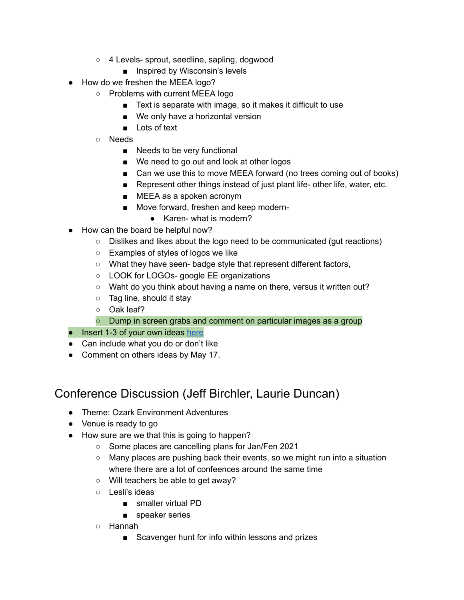- 4 Levels- sprout, seedline, sapling, dogwood
	- Inspired by Wisconsin's levels
- How do we freshen the MEEA logo?
	- Problems with current MEEA logo
		- Text is separate with image, so it makes it difficult to use
		- We only have a horizontal version
		- Lots of text
	- Needs
		- Needs to be very functional
		- We need to go out and look at other logos
		- Can we use this to move MEEA forward (no trees coming out of books)
		- Represent other things instead of just plant life- other life, water, etc.
		- MEEA as a spoken acronym
		- Move forward, freshen and keep modern-
			- Karen- what is modern?
- How can the board be helpful now?
	- Dislikes and likes about the logo need to be communicated (gut reactions)
	- Examples of styles of logos we like
	- What they have seen- badge style that represent different factors,
	- LOOK for LOGOs- google EE organizations
	- Waht do you think about having a name on there, versus it written out?
	- Tag line, should it stay
	- Oak leaf?
	- Dump in screen grabs and comment on particular images as a group
- Insert 1-3 of your own ideas [here](https://docs.google.com/presentation/d/1-ENfaz9buAO4eyYvuqezH_pRwpyJNaAyKb5Ya34-jFQ/edit#slide=id.p)
- Can include what you do or don't like
- Comment on others ideas by May 17.

### Conference Discussion (Jeff Birchler, Laurie Duncan)

- Theme: Ozark Environment Adventures
- Venue is ready to go
- How sure are we that this is going to happen?
	- Some places are cancelling plans for Jan/Fen 2021
	- Many places are pushing back their events, so we might run into a situation where there are a lot of confeences around the same time
	- Will teachers be able to get away?
	- Lesli's ideas
		- smaller virtual PD
		- speaker series
	- Hannah
		- Scavenger hunt for info within lessons and prizes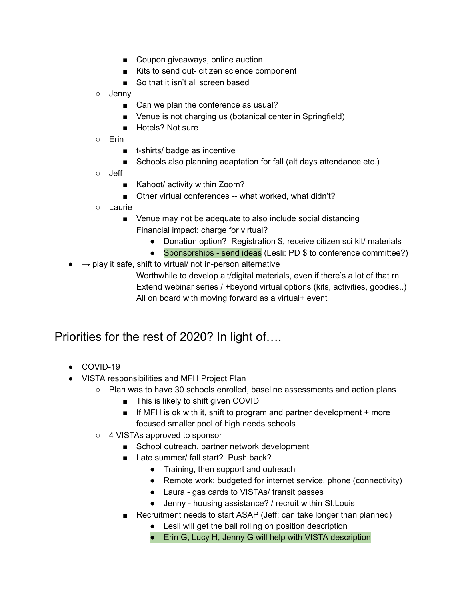- Coupon giveaways, online auction
- Kits to send out- citizen science component
- So that it isn't all screen based
- Jenny
	- Can we plan the conference as usual?
	- Venue is not charging us (botanical center in Springfield)
	- Hotels? Not sure
- Erin
	- t-shirts/ badge as incentive
	- Schools also planning adaptation for fall (alt days attendance etc.)
- Jeff
	- Kahoot/ activity within Zoom?
	- Other virtual conferences -- what worked, what didn't?
- Laurie
	- Venue may not be adequate to also include social distancing Financial impact: charge for virtual?
		- Donation option? Registration \$, receive citizen sci kit/ materials
		- Sponsorships send ideas (Lesli: PD \$ to conference committee?)
- $\bullet \rightarrow$  play it safe, shift to virtual/ not in-person alternative
	- Worthwhile to develop alt/digital materials, even if there's a lot of that rn Extend webinar series / +beyond virtual options (kits, activities, goodies..) All on board with moving forward as a virtual+ event

### Priorities for the rest of 2020? In light of….

- COVID-19
- VISTA responsibilities and MFH Project Plan
	- Plan was to have 30 schools enrolled, baseline assessments and action plans
		- This is likely to shift given COVID
		- If MFH is ok with it, shift to program and partner development + more focused smaller pool of high needs schools
	- 4 VISTAs approved to sponsor
		- School outreach, partner network development
		- Late summer/ fall start? Push back?
			- Training, then support and outreach
			- Remote work: budgeted for internet service, phone (connectivity)
			- Laura gas cards to VISTAs/ transit passes
			- Jenny housing assistance? / recruit within St. Louis
		- Recruitment needs to start ASAP (Jeff: can take longer than planned)
			- Lesli will get the ball rolling on position description
			- Erin G, Lucy H, Jenny G will help with VISTA description